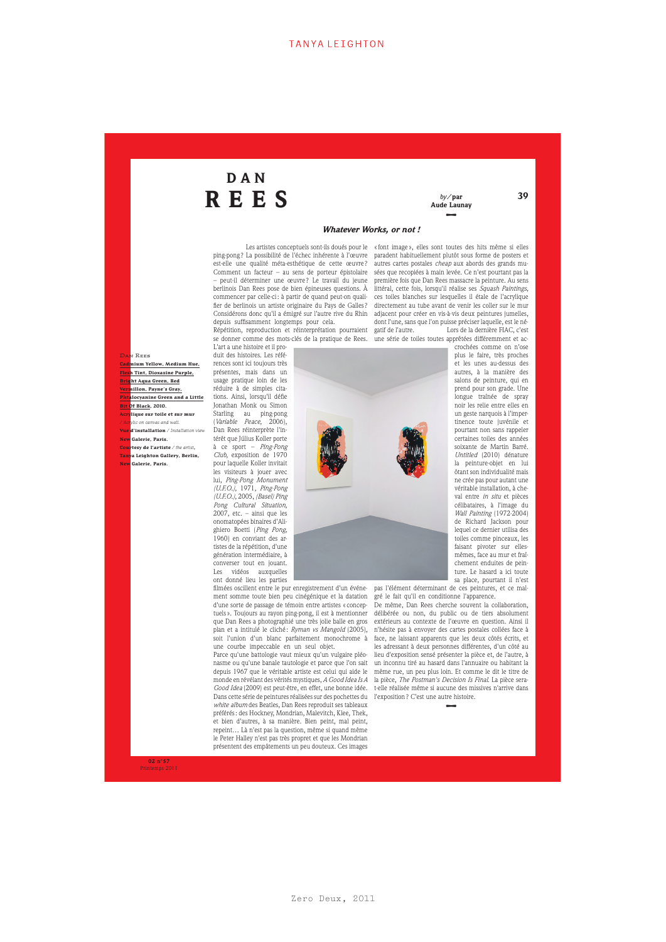# DAN REES *by/*par

## Aude Launay **–**

30

#### *Whatever Works, or not !*

est-elle une qualité méta-esthétique de cette œuvre ? Comment un facteur – au sens de porteur épistolaire – peut-il déterminer une œuvre ? Le travail du jeune berlinois Dan Rees pose de bien épineuses questions. À commencer par celle-ci: à partir de quand peut-on qualifier de berlinois un artiste originaire du Pays de Galles ? Considérons donc qu'il a émigré sur l'autre rive du Rhin depuis suffisamment longtemps pour cela. Répétition, reproduction et réinterprétation pourraient

se donner comme des mots-clés de la pratique de Rees. L'art a une histoire et il pro-

**N** REES **Cadmium Yellow, Medium Hue, h** Tint, Dioxazine Purple, **Bright Aqua Green, Red Vermillon, Payne's Gray, Bit Of Black, 2010. Acrylique sur toile et sur mur** */ Acrylic on canvas and wall.*  **New Galerie, Paris. Courtesy de l'artiste** */ the artist***, Tanya Leighton Gallery, Berlin, New Galerie, Paris.**

duit des histoires. Les références sont ici toujours très présentes, mais dans un usage pratique loin de les réduire à de simples citations. Ainsi, lorsqu'il défie Jonathan Monk ou Simon converser tout en jouant.<br>Les vidéos auxquelles auxquelles

ont donné lieu les parties filmées oscillent entre le pur enregistrement d'un événement somme toute bien peu cinégénique et la datation d'une sorte de passage de témoin entre artistes « conceptuels ». Toujours au rayon ping-pong, il est à mentionner que Dan Rees a photographié une très jolie balle en gros plan et a intitulé le cliché : *Ryman vs Mangold* (2005), soit l'union d'un blanc parfaitement monochrome à une courbe impeccable en un seul objet.

Parce qu'une battologie vaut mieux qu'un vulgaire pléonasme ou qu'une banale tautologie et parce que l'on sait depuis 1967 que le véritable artiste est celui qui aide le monde en révélant des vérités mystiques, *A Good Idea Is A Good Idea* (2009) est peut-être, en effet, une bonne idée. Dans cette série de peintures réalisées sur des pochettes du *white album* des Beatles, Dan Rees reproduit ses tableaux préférés: des Hockney, Mondrian, Malevitch, Klee, Thek, et bien d'autres, à sa manière. Bien peint, mal peint, repeint… Là n'est pas la question, même si quand même le Peter Halley n'est pas très propret et que les Mondrian présentent des empâtements un peu douteux. Ces images

Les artistes conceptuels sont-ils doués pour le ping-pong ? La possibilité de l'échec inhérente à l'œuvre « font image », elles sont toutes des hits même si elles paradent habituellement plutôt sous forme de posters et autres cartes postales *cheap* aux abords des grands musées que recopiées à main levée. Ce n'est pourtant pas la première fois que Dan Rees massacre la peinture. Au sens littéral, cette fois, lorsqu'il réalise ses *Squash Paintings*, ces toiles blanches sur lesquelles il étale de l'acrylique directement au tube avant de venir les coller sur le mur adjacent pour créer en vis-à-vis deux peintures jumelles, dont l'une, sans que l'on puisse préciser laquelle, est le négatif de l'autre. Lors de la dernière FIAC, c'est une série de toiles toutes apprêtées différemment et ac-

crochées comme on n'ose plus le faire, très proches et les unes au-dessus des autres, à la manière des salons de peinture, qui en prend pour son grade. Une longue traînée de spray noir les relie entre elles en un geste narquois à l'impertinence toute juvénile et pourtant non sans rappeler certaines toiles des années soixante de Martin Barré. *Untitled* (2010) dénature la peinture-objet en lui ôtant son individualité mais ne crée pas pour autant une véritable installation, à cheval entre *in situ* et pièces célibataires, à l'image du *Wall Painting* (1972-2004) de Richard Jackson pour lequel ce dernier utilisa des toiles comme pinceaux, les faisant pivoter sur ellesmêmes, face au mur et fraîchement enduites de peinture. Le hasard a ici toute sa place, pourtant il n'est

**Phtalocyanine Green and a Little Vue d'installation** */ Installation view*

Starling au ping-pong (*Variable Peace*, 2006), Dan Rees réinterprète l'intérêt que Július Koller porte à ce sport – *Ping-Pong Club*, exposition de 1970 pour laquelle Koller invitait les visiteurs à jouer avec lui, *Ping-Pong Monument (U.F.O.)*, 1971, *Ping-Pong (U.F.O.)*, 2005, *(Basel) Ping Pong Cultural Situation*, 2007, etc. – ainsi que les onomatopées binaires d'Alighiero Boetti (*Ping Pong*, 1960) en conviant des artistes de la répétition, d'une génération intermédiaire, à



pas l'élément déterminant de ces peintures, et ce malgré le fait qu'il en conditionne l'apparence.

De même, Dan Rees cherche souvent la collaboration, délibérée ou non, du public ou de tiers absolument extérieurs au contexte de l'œuvre en question. Ainsi il n'hésite pas à envoyer des cartes postales collées face à face, ne laissant apparents que les deux côtés écrits, et les adressant à deux personnes différentes, d'un côté au lieu d'exposition sensé présenter la pièce et, de l'autre, à un inconnu tiré au hasard dans l'annuaire ou habitant la même rue, un peu plus loin. Et comme le dit le titre de la pièce, *The Postman's Decision Is Final*. La pièce serat-elle réalisée même si aucune des missives n'arrive dans l'exposition? C'est une autre histoire.

**–**